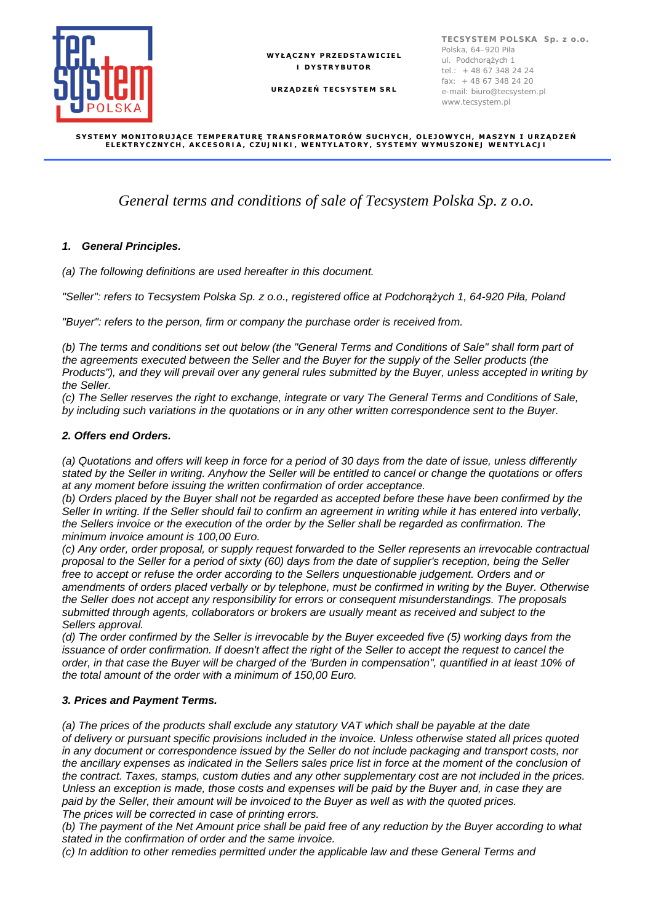

**WYŁĄCZNY PRZEDSTAWICIEL I DYSTRYBUTOR**

**URZĄDZEŃ TECSYSTEM SRL**

#### **SYSTEMY MONITORUJĄCE TEMPERATURĘ TRANSFORMATORÓW SUCHYCH, OLEJOWYCH, MASZYN I URZĄDZEŃ ELEKTRYCZNYCH, AKCESORIA, CZUJNIKI, WENTYLATORY, SYSTEMY WYMUSZONEJ WENTYLACJI**

# *General terms and conditions of sale of Tecsystem Polska Sp. z o.o.*

# *1. General Principles.*

*(a) The following definitions are used hereafter in this document.*

*"Seller": refers to Tecsystem Polska Sp. z o.o., registered office at Podchorążych 1, 64-920 Piła, Poland*

*"Buyer": refers to the person, firm or company the purchase order is received from.*

*(b) The terms and conditions set out below (the "General Terms and Conditions of Sale" shall form part of the agreements executed between the Seller and the Buyer for the supply of the Seller products (the Products"), and they will prevail over any general rules submitted by the Buyer, unless accepted in writing by the Seller.*

*(c) The Seller reserves the right to exchange, integrate or vary The General Terms and Conditions of Sale, by including such variations in the quotations or in any other written correspondence sent to the Buyer.*

#### *2. Offers end Orders.*

*(a) Quotations and offers will keep in force for a period of 30 days from the date of issue, unless differently stated by the Seller in writing. Anyhow the Seller will be entitled to cancel or change the quotations or offers at any moment before issuing the written confirmation of order acceptance.*

*(b) Orders placed by the Buyer shall not be regarded as accepted before these have been confirmed by the Seller In writing. If the Seller should fail to confirm an agreement in writing while it has entered into verbally, the Sellers invoice or the execution of the order by the Seller shall be regarded as confirmation. The minimum invoice amount is 100,00 Euro.*

*(c) Any order, order proposal, or supply request forwarded to the Seller represents an irrevocable contractual proposal to the Seller for a period of sixty (60) days from the date of supplier's reception, being the Seller free to accept or refuse the order according to the Sellers unquestionable judgement. Orders and or amendments of orders placed verbally or by telephone, must be confirmed in writing by the Buyer. Otherwise the Seller does not accept any responsibility for errors or consequent misunderstandings. The proposals submitted through agents, collaborators or brokers are usually meant as received and subject to the Sellers approval.*

*(d) The order confirmed by the Seller is irrevocable by the Buyer exceeded five (5) working days from the issuance of order confirmation. If doesn't affect the right of the Seller to accept the request to cancel the order, in that case the Buyer will be charged of the 'Burden in compensation", quantified in at least 10% of the total amount of the order with a minimum of 150,00 Euro.*

#### *3. Prices and Payment Terms.*

*(a) The prices of the products shall exclude any statutory VAT which shall be payable at the date of delivery or pursuant specific provisions included in the invoice. Unless otherwise stated all prices quoted in any document or correspondence issued by the Seller do not include packaging and transport costs, nor the ancillary expenses as indicated in the Sellers sales price list in force at the moment of the conclusion of the contract. Taxes, stamps, custom duties and any other supplementary cost are not included in the prices. Unless an exception is made, those costs and expenses will be paid by the Buyer and, in case they are paid by the Seller, their amount will be invoiced to the Buyer as well as with the quoted prices. The prices will be corrected in case of printing errors.*

*(b) The payment of the Net Amount price shall be paid free of any reduction by the Buyer according to what stated in the confirmation of order and the same invoice.*

*(c) In addition to other remedies permitted under the applicable law and these General Terms and*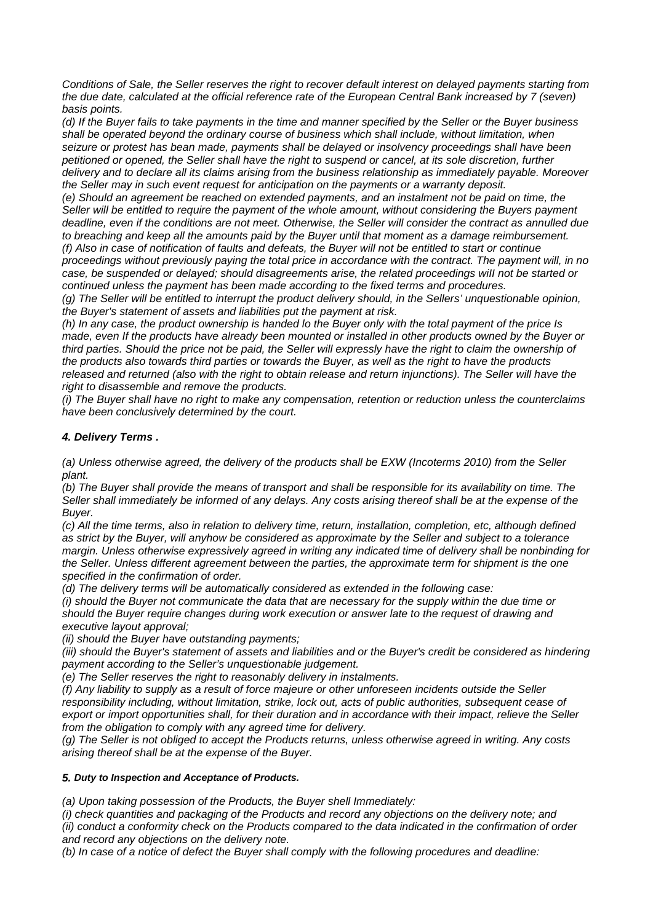*Conditions of Sale, the Seller reserves the right to recover default interest on delayed payments starting from the due date, calculated at the official reference rate of the European Central Bank increased by 7 (seven) basis points.*

*(d) If the Buyer fails to take payments in the time and manner specified by the Seller or the Buyer business shall be operated beyond the ordinary course of business which shall include, without limitation, when seizure or protest has bean made, payments shall be delayed or insolvency proceedings shall have been petitioned or opened, the Seller shall have the right to suspend or cancel, at its sole discretion, further delivery and to declare all its claims arising from the business relationship as immediately payable. Moreover the Seller may in such event request for anticipation on the payments or a warranty deposit.*

*(e) Should an agreement be reached on extended payments, and an instalment not be paid on time, the Seller will be entitled to require the payment of the whole amount, without considering the Buyers payment deadline, even if the conditions are not meet. Otherwise, the Seller will consider the contract as annulled due to breaching and keep all the amounts paid by the Buyer until that moment as a damage reimbursement. (f) Also in case of notification of faults and defeats, the Buyer will not be entitled to start or continue proceedings without previously paying the total price in accordance with the contract. The payment will, in no case, be suspended or delayed; should disagreements arise, the related proceedings wiII not be started or continued unless the payment has been made according to the fixed terms and procedures.*

*(g) The Seller will be entitled to interrupt the product delivery should, in the Sellers' unquestionable opinion, the Buyer's statement of assets and liabilities put the payment at risk.*

*(h) In any case, the product ownership is handed lo the Buyer only with the total payment of the price Is made, even If the products have already been mounted or installed in other products owned by the Buyer or third parties. Should the price not be paid, the Seller will expressly have the right to claim the ownership of the products also towards third parties or towards the Buyer, as well as the right to have the products released and returned (also with the right to obtain release and return injunctions). The Seller will have the right to disassemble and remove the products.*

*(i) The Buyer shall have no right to make any compensation, retention or reduction unless the counterclaims have been conclusively determined by the court.*

# *4. Delivery Terms .*

*(a) Unless otherwise agreed, the delivery of the products shall be EXW (Incoterms 2010) from the Seller plant.*

*(b) The Buyer shall provide the means of transport and shall be responsible for its availability on time. The Seller shall immediately be informed of any delays. Any costs arising thereof shall be at the expense of the Buyer.*

*(c) All the time terms, also in relation to delivery time, return, installation, completion, etc, although defined as strict by the Buyer, will anyhow be considered as approximate by the Seller and subject to a tolerance margin. Unless otherwise expressively agreed in writing any indicated time of delivery shall be nonbinding for the Seller. Unless different agreement between the parties, the approximate term for shipment is the one specified in the confirmation of order.*

*(d) The delivery terms will be automatically considered as extended in the following case:*

*(i) should the Buyer not communicate the data that are necessary for the supply within the due time or should the Buyer require changes during work execution or answer late to the request of drawing and executive layout approval;*

*(ii) should the Buyer have outstanding payments;*

*(iii) should the Buyer's statement of assets and liabilities and or the Buyer's credit be considered as hindering payment according to the Seller's unquestionable judgement.*

*(e) The Seller reserves the right to reasonably delivery in instalments.*

*(f) Any liability to supply as a result of force majeure or other unforeseen incidents outside the Seller responsibility including, without limitation, strike, lock out, acts of public authorities, subsequent cease of export or import opportunities shall, for their duration and in accordance with their impact, relieve the Seller from the obligation to comply with any agreed time for delivery.*

*(g) The Seller is not obliged to accept the Products returns, unless otherwise agreed in writing. Any costs arising thereof shall be at the expense of the Buyer.*

#### *5. Duty to Inspection and Acceptance of Products.*

*(a) Upon taking possession of the Products, the Buyer shell Immediately:*

*(i) check quantities and packaging of the Products and record any objections on the delivery note; and (ii) conduct a conformity check on the Products compared to the data indicated in the confirmation of order and record any objections on the delivery note.*

*(b) In case of a notice of defect the Buyer shall comply with the following procedures and deadline:*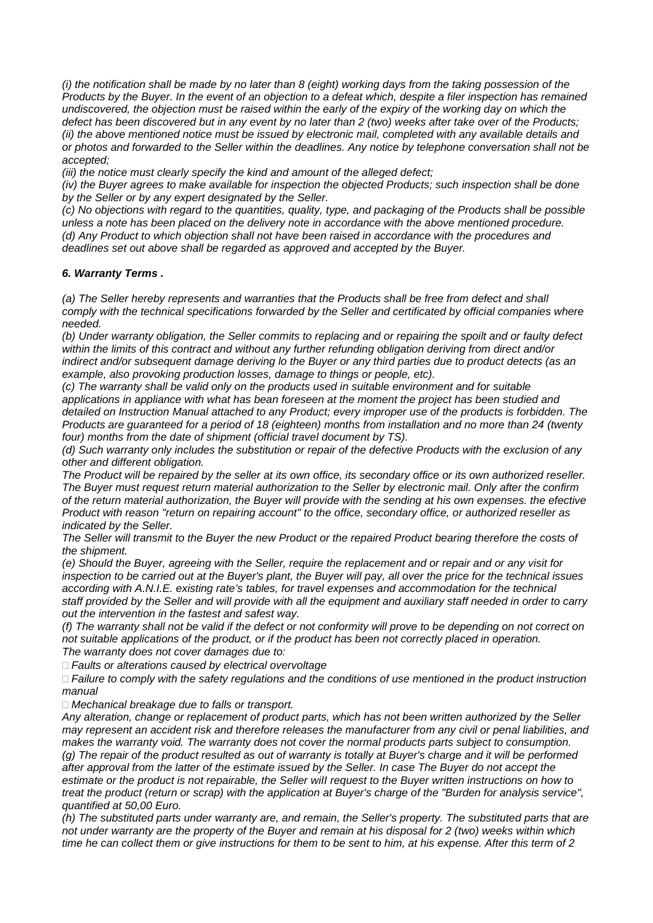*(i) the notification shall be made by no later than 8 (eight) working days from the taking possession of the Products by the Buyer. In the event of an objection to a defeat which, despite a filer inspection has remained undiscovered, the objection must be raised within the early of the expiry of the working day on which the defect has been discovered but in any event by no later than 2 (two) weeks after take over of the Products; (ii) the above mentioned notice must be issued by electronic mail, completed with any available details and or photos and forwarded to the Seller within the deadlines. Any notice by telephone conversation shall not be accepted;*

*(iii) the notice must clearly specify the kind and amount of the alleged defect;*

*(iv) the Buyer agrees to make available for inspection the objected Products; such inspection shall be done by the Seller or by any expert designated by the Seller.*

*(c) No objections with regard to the quantities, quality, type, and packaging of the Products shall be possible unless a note has been placed on the delivery note in accordance with the above mentioned procedure. (d) Any Product to which objection shall not have been raised in accordance with the procedures and deadlines set out above shall be regarded as approved and accepted by the Buyer.*

## *6. Warranty Terms .*

*(a) The Seller hereby represents and warranties that the Products shall be free from defect and shall comply with the technical specifications forwarded by the Seller and certificated by official companies where needed.*

*(b) Under warranty obligation, the Seller commits to replacing and or repairing the spoilt and or faulty defect within the limits of this contract and without any further refunding obligation deriving from direct and/or indirect and/or subsequent damage deriving lo the Buyer or any third parties due to product detects (as an example, also provoking production losses, damage to things or people, etc).*

*(c) The warranty shall be valid only on the products used in suitable environment and for suitable applications in appliance with what has bean foreseen at the moment the project has been studied and detailed on Instruction Manual attached to any Product; every improper use of the products is forbidden. The Products are guaranteed for a period of 18 (eighteen) months from installation and no more than 24 (twenty four) months from the date of shipment (official travel document by TS).*

*(d) Such warranty only includes the substitution or repair of the defective Products with the exclusion of any other and different obligation.*

*The Product will be repaired by the seller at its own office, its secondary office or its own authorized reseller. The Buyer must request return material authorization to the Seller by electronic mail. Only after the confirm of the return material authorization, the Buyer will provide with the sending at his own expenses. the efective Product with reason "return on repairing account" to the office, secondary office, or authorized reseller as indicated by the Seller.*

*The Seller will transmit to the Buyer the new Product or the repaired Product bearing therefore the costs of the shipment.*

*(e) Should the Buyer, agreeing with the Seller, require the replacement and or repair and or any visit for inspection to be carried out at the Buyer's plant, the Buyer will pay, all over the price for the technical issues according with A.N.I.E. existing rate's tables, for travel expenses and accommodation for the technical staff provided by the Seller and will provide with all the equipment and auxiliary staff needed in order to carry out the intervention in the fastest and safest way.*

*(f) The warranty shall not be valid if the defect or not conformity will prove to be depending on not correct on not suitable applications of the product, or if the product has been not correctly placed in operation. The warranty does not cover damages due to:*

*Faults or alterations caused by electrical overvoltage*

 *Failure to comply with the safety regulations and the conditions of use mentioned in the product instruction manual*

*Mechanical breakage due to falls or transport.*

*Any alteration, change or replacement of product parts, which has not been written authorized by the Seller may represent an accident risk and therefore releases the manufacturer from any civil or penal liabilities, and makes the warranty void. The warranty does not cover the normal products parts subject to consumption. (g) The repair of the product resulted as out of warranty is totally at Buyer's charge and it will be performed after approval from the latter of the estimate issued by the Seller. In case The Buyer do not accept the estimate or the product is not repairable, the Seller wiII request to the Buyer written instructions on how to treat the product (return or scrap) with the application at Buyer's charge of the "Burden for analysis service", quantified at 50,00 Euro.*

*(h) The substituted parts under warranty are, and remain, the Seller's property. The substituted parts that are not under warranty are the property of the Buyer and remain at his disposal for 2 (two) weeks within which time he can collect them or give instructions for them to be sent to him, at his expense. After this term of 2*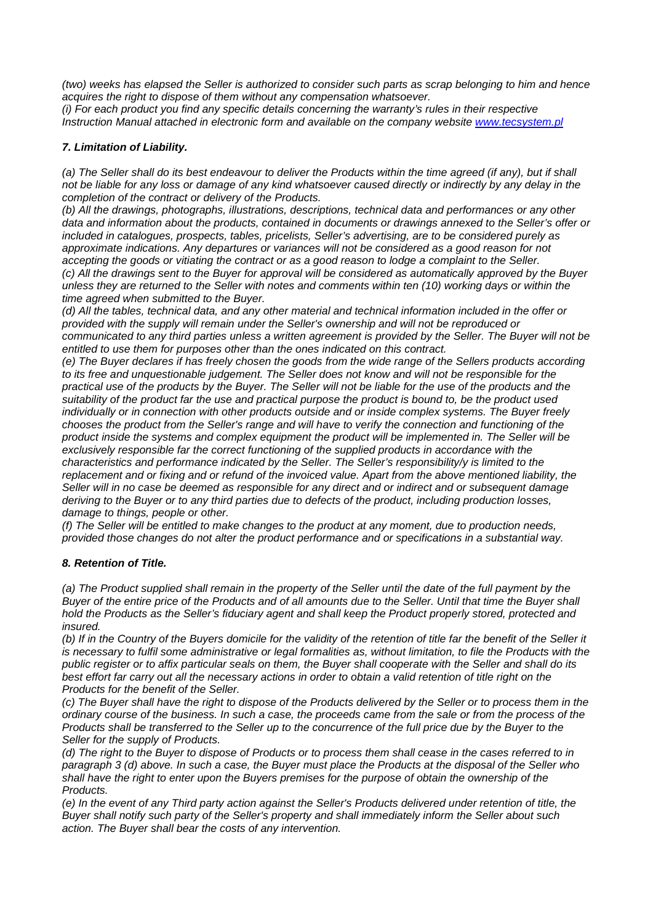*(two) weeks has elapsed the Seller is authorized to consider such parts as scrap belonging to him and hence acquires the right to dispose of them without any compensation whatsoever.*

*(i) For each product you find any specific details concerning the warranty's rules in their respective Instruction Manual attached in electronic form and available on the company website [www.tecsystem.pl](http://www.tecsystem.pl/)*

# *7. Limitation of Liability.*

*(a) The Seller shall do its best endeavour to deliver the Products within the time agreed (if any), but if shall not be liable for any loss or damage of any kind whatsoever caused directly or indirectly by any delay in the completion of the contract or delivery of the Products.*

*(b) All the drawings, photographs, illustrations, descriptions, technical data and performances or any other data and information about the products, contained in documents or drawings annexed to the Seller's offer or included in catalogues, prospects, tables, pricelists, Seller's advertising, are to be considered purely as approximate indications. Any departures or variances will not be considered as a good reason for not accepting the goods or vitiating the contract or as a good reason to lodge a complaint to the Seller. (c) All the drawings sent to the Buyer for approval will be considered as automatically approved by the Buyer unless they are returned to the Seller with notes and comments within ten (10) working days or within the time agreed when submitted to the Buyer.*

*(d) All the tables, technical data, and any other material and technical information included in the offer or provided with the supply will remain under the Seller's ownership and will not be reproduced or communicated to any third parties unless a written agreement is provided by the Seller. The Buyer will not be entitled to use them for purposes other than the ones indicated on this contract.*

*(e) The Buyer declares if has freely chosen the goods from the wide range of the Sellers products according to its free and unquestionable judgement. The Seller does not know and will not be responsible for the practical use of the products by the Buyer. The Seller will not be liable for the use of the products and the suitability of the product far the use and practical purpose the product is bound to, be the product used individually or in connection with other products outside and or inside complex systems. The Buyer freely chooses the product from the Seller's range and will have to verify the connection and functioning of the product inside the systems and complex equipment the product will be implemented in. The Seller will be exclusively responsible far the correct functioning of the supplied products in accordance with the characteristics and performance indicated by the Seller. The Seller's responsibility/y is limited to the replacement and or fixing and or refund of the invoiced value. Apart from the above mentioned liability, the Seller will in no case be deemed as responsible for any direct and or indirect and or subsequent damage deriving to the Buyer or to any third parties due to defects of the product, including production losses, damage to things, people or other.*

*(f) The Seller will be entitled to make changes to the product at any moment, due to production needs, provided those changes do not alter the product performance and or specifications in a substantial way.*

#### *8. Retention of Title.*

*(a) The Product supplied shall remain in the property of the Seller until the date of the full payment by the Buyer of the entire price of the Products and of all amounts due to the Seller. Until that time the Buyer shall hold the Products as the Seller's fiduciary agent and shall keep the Product properly stored, protected and insured.*

*(b) If in the Country of the Buyers domicile for the validity of the retention of title far the benefit of the Seller it is necessary to fulfil some administrative or legal formalities as, without limitation, to file the Products with the public register or to affix particular seals on them, the Buyer shall cooperate with the Seller and shall do its best effort far carry out all the necessary actions in order to obtain a valid retention of title right on the Products for the benefit of the Seller.*

*(c) The Buyer shall have the right to dispose of the Products delivered by the Seller or to process them in the ordinary course of the business. In such a case, the proceeds came from the sale or from the process of the Products shall be transferred to the Seller up to the concurrence of the full price due by the Buyer to the Seller for the supply of Products.*

*(d) The right to the Buyer to dispose of Products or to process them shall cease in the cases referred to in paragraph 3 (d) above. In such a case, the Buyer must place the Products at the disposal of the Seller who shall have the right to enter upon the Buyers premises for the purpose of obtain the ownership of the Products.*

*(e) In the event of any Third party action against the Seller's Products delivered under retention of title, the Buyer shall notify such party of the Seller's property and shall immediately inform the Seller about such action. The Buyer shall bear the costs of any intervention.*